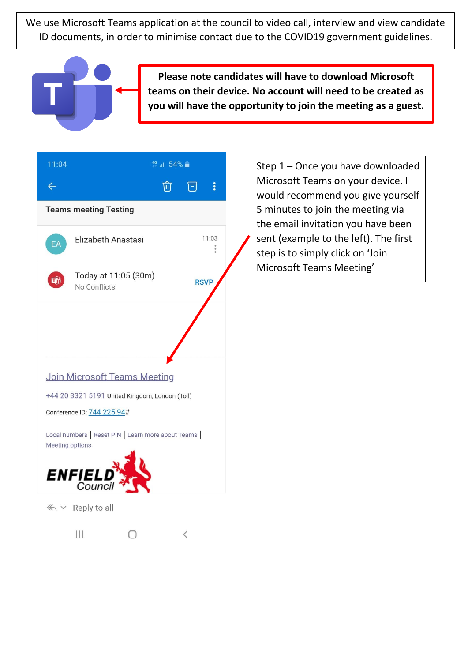We use Microsoft Teams application at the council to video call, interview and view candidate ID documents, in order to minimise contact due to the COVID19 government guidelines.



**Please note candidates will have to download Microsoft teams on their device. No account will need to be created as you will have the opportunity to join the meeting as a guest.**



Step 1 – Once you have downloaded Microsoft Teams on your device. I would recommend you give yourself 5 minutes to join the meeting via the email invitation you have been sent (example to the left). The first step is to simply click on 'Join Microsoft Teams Meeting'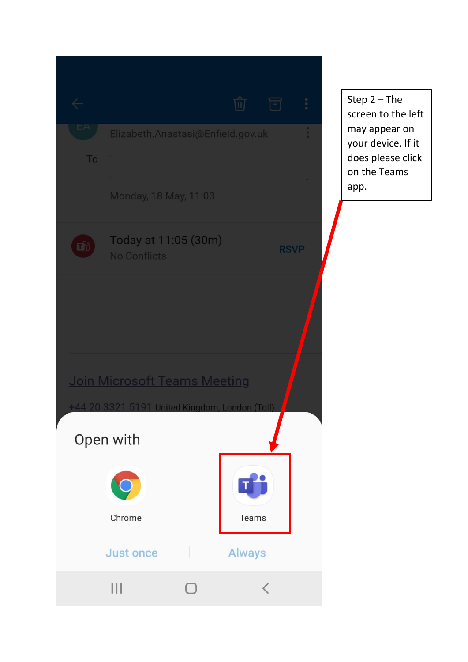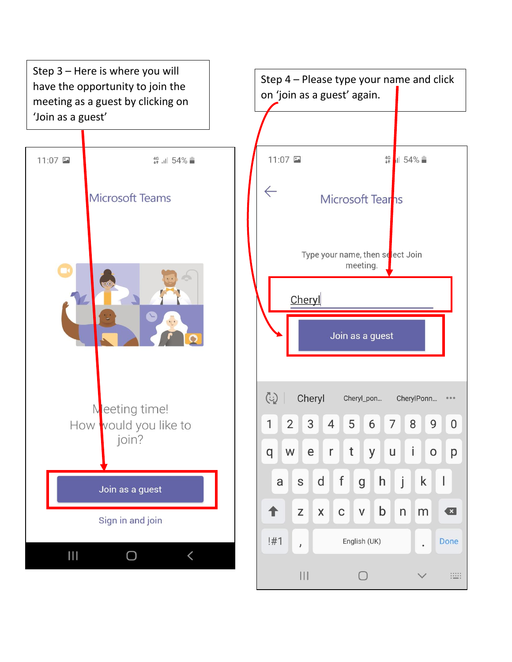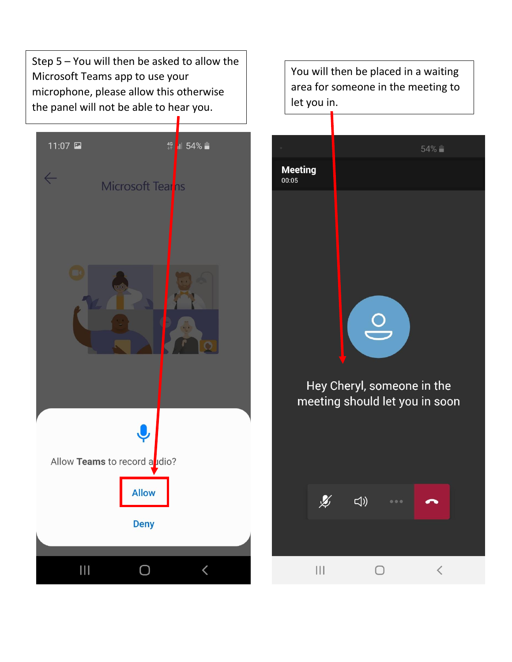Step 5 – You will then be asked to allow the Microsoft Teams app to use your microphone, please allow this otherwise the panel will not be able to hear you.



You will then be placed in a waiting area for someone in the meeting to let you in.

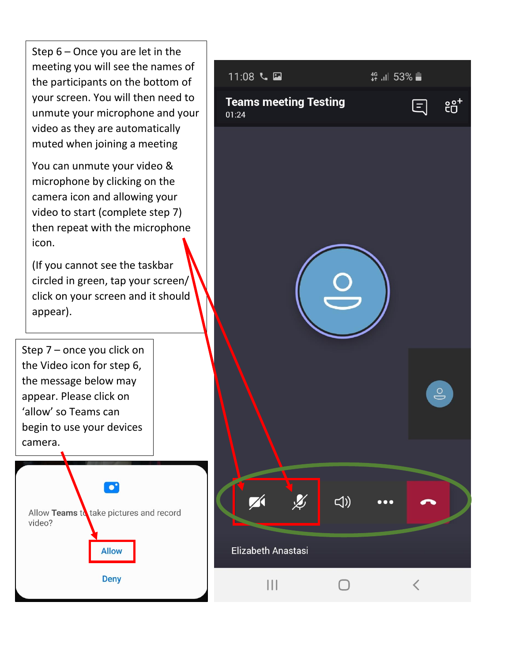Step 6 – Once you are let in the meeting you will see the names of the participants on the bottom of your screen. You will then need to unmute your microphone and your video as they are automatically muted when joining a meeting

You can unmute your video & microphone by clicking on the camera icon and allowing your video to start (complete step 7) then repeat with the microphone icon.

(If you cannot see the taskbar circled in green, tap your screen/ click on your screen and it should appear).

Step 7 – once you click on the Video icon for step 6, the message below may appear. Please click on 'allow' so Teams can begin to use your devices camera.